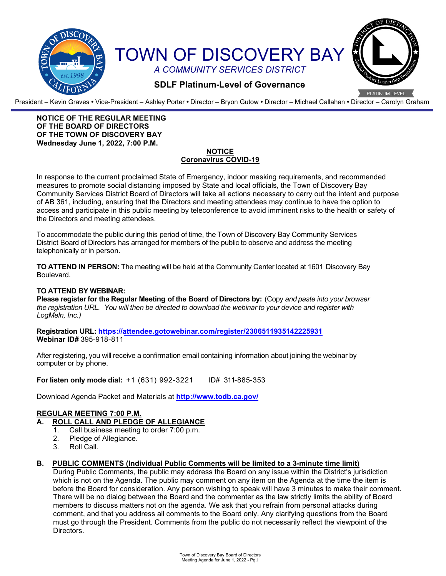

President – Kevin Graves **•** Vice-President – Ashley Porter **•** Director – Bryon Gutow **•** Director – Michael Callahan **•** Director – Carolyn Graham

#### **NOTICE OF THE REGULAR MEETING OF THE BOARD OF DIRECTORS OF THE TOWN OF DISCOVERY BAY Wednesday June 1, 2022, 7:00 P.M.**

#### **NOTICE Coronavirus COVID-19**

In response to the current proclaimed State of Emergency, indoor masking requirements, and recommended measures to promote social distancing imposed by State and local officials, the Town of Discovery Bay Community Services District Board of Directors will take all actions necessary to carry out the intent and purpose of AB 361, including, ensuring that the Directors and meeting attendees may continue to have the option to access and participate in this public meeting by teleconference to avoid imminent risks to the health or safety of the Directors and meeting attendees.

To accommodate the public during this period of time, the Town of Discovery Bay Community Services District Board of Directors has arranged for members of the public to observe and address the meeting telephonically or in person.

**TO ATTEND IN PERSON:** The meeting will be held at the Community Center located at 1601 Discovery Bay Boulevard.

#### **TO ATTEND BY WEBINAR:**

**Please register for the Regular Meeting of the Board of Directors by:** (Copy *and paste into your browser the registration URL. You will then be directed to download the webinar to your device and register with LogMeln, Inc.)*

**Registration URL: <https://attendee.gotowebinar.com/register/2306511935142225931> Webinar ID#** 395-918-811

After registering, you will receive a confirmation email containing information about joining the webinar by computer or by phone.

**For listen only mode dial:** +1 (631) 992-3221 ID# 311-885-353

Download Agenda Packet and Materials at **http:/[/www.todb.ca.gov/](http://www.todb.ca.gov/)** 

## **REGULAR MEETING 7:00 P.M.**

- **A. ROLL CALL AND PLEDGE OF ALLEGIANCE**
	- 1. Call business meeting to order 7:00 p.m.
	- 2. Pledge of Allegiance.
	- 3. Roll Call.

#### **B. PUBLIC COMMENTS (Individual Public Comments will be limited to a 3-minute time limit)**

During Public Comments, the public may address the Board on any issue within the District's jurisdiction which is not on the Agenda. The public may comment on any item on the Agenda at the time the item is before the Board for consideration. Any person wishing to speak will have 3 minutes to make their comment. There will be no dialog between the Board and the commenter as the law strictly limits the ability of Board members to discuss matters not on the agenda. We ask that you refrain from personal attacks during comment, and that you address all comments to the Board only. Any clarifying questions from the Board must go through the President. Comments from the public do not necessarily reflect the viewpoint of the Directors.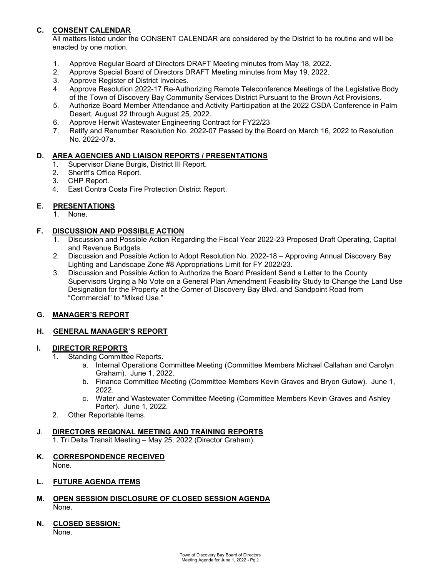## **C. CONSENT CALENDAR**

All matters listed under the CONSENT CALENDAR are considered by the District to be routine and will be enacted by one motion.

- 1. Approve Regular Board of Directors DRAFT Meeting minutes from May 18, 2022.
- 2. Approve Special Board of Directors DRAFT Meeting minutes from May 19, 2022.
- 3. Approve Register of District Invoices.
- 4. Approve Resolution 2022-17 Re-Authorizing Remote Teleconference Meetings of the Legislative Body of the Town of Discovery Bay Community Services District Pursuant to the Brown Act Provisions.
- 5. Authorize Board Member Attendance and Activity Participation at the 2022 CSDA Conference in Palm Desert, August 22 through August 25, 2022.
- 6. Approve Herwit Wastewater Engineering Contract for FY22/23
- 7. Ratify and Renumber Resolution No. 2022-07 Passed by the Board on March 16, 2022 to Resolution No. 2022-07a.

#### **D. AREA AGENCIES AND LIAISON REPORTS / PRESENTATIONS**

- 1. Supervisor Diane Burgis, District III Report.
- 2. Sheriff's Office Report.
- 3. CHP Report.
- 4. East Contra Costa Fire Protection District Report.

## **E. PRESENTATIONS**

1. None.

## **F. DISCUSSION AND POSSIBLE ACTION**

- 1. Discussion and Possible Action Regarding the Fiscal Year 2022-23 Proposed Draft Operating, Capital and Revenue Budgets.
- 2. Discussion and Possible Action to Adopt Resolution No. 2022-18 Approving Annual Discovery Bay Lighting and Landscape Zone #8 Appropriations Limit for FY 2022/23.
- 3. Discussion and Possible Action to Authorize the Board President Send a Letter to the County Supervisors Urging a No Vote on a General Plan Amendment Feasibility Study to Change the Land Use Designation for the Property at the Corner of Discovery Bay Blvd. and Sandpoint Road from "Commercial" to "Mixed Use."

## **G. MANAGER'S REPORT**

## **H. GENERAL MANAGER'S REPORT**

## **I. DIRECTOR REPORTS**

- 1. Standing Committee Reports.
	- a. Internal Operations Committee Meeting (Committee Members Michael Callahan and Carolyn Graham). June 1, 2022.
	- b. Finance Committee Meeting (Committee Members Kevin Graves and Bryon Gutow). June 1, 2022.
	- c. Water and Wastewater Committee Meeting (Committee Members Kevin Graves and Ashley Porter). June 1, 2022.
- 2. Other Reportable Items.

## **J**. **DIRECTORS REGIONAL MEETING AND TRAINING REPORTS**

1. Tri Delta Transit Meeting – May 25, 2022 (Director Graham).

## **K. CORRESPONDENCE RECEIVED**

None.

#### **L. FUTURE AGENDA ITEMS**

- **M. OPEN SESSION DISCLOSURE OF CLOSED SESSION AGENDA** None.
- **N. CLOSED SESSION:** None.